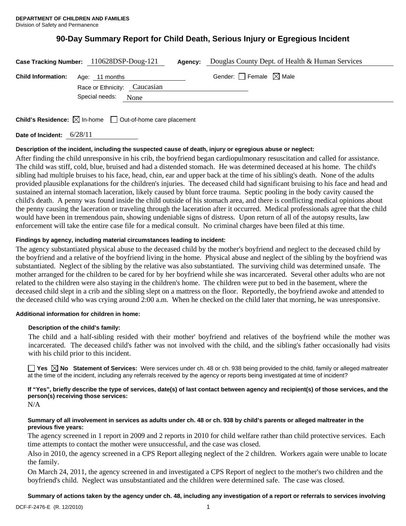# **90-Day Summary Report for Child Death, Serious Injury or Egregious Incident**

|                                          | Case Tracking Number: 110628DSP-Doug-121 | Agency: | Douglas County Dept. of Health & Human Services |
|------------------------------------------|------------------------------------------|---------|-------------------------------------------------|
| <b>Child Information:</b> Age: 11 months | Race or Ethnicity: Caucasian             |         | Gender: $\Box$ Female $\boxtimes$ Male          |
|                                          | Special needs:<br>None                   |         |                                                 |

**Child's Residence:**  $\boxtimes$  In-home  $\Box$  Out-of-home care placement

**Date of Incident:** 6/28/11

# **Description of the incident, including the suspected cause of death, injury or egregious abuse or neglect:**

After finding the child unresponsive in his crib, the boyfriend began cardiopulmonary resuscitation and called for assistance. The child was stiff, cold, blue, bruised and had a distended stomach. He was determined deceased at his home. The child's sibling had multiple bruises to his face, head, chin, ear and upper back at the time of his sibling's death. None of the adults provided plausible explanations for the children's injuries. The deceased child had significant bruising to his face and head and sustained an internal stomach laceration, likely caused by blunt force trauma. Septic pooling in the body cavity caused the child's death. A penny was found inside the child outside of his stomach area, and there is conflicting medical opinions about the penny causing the laceration or traveling through the laceration after it occurred. Medical professionals agree that the child would have been in tremendous pain, showing undeniable signs of distress. Upon return of all of the autopsy results, law enforcement will take the entire case file for a medical consult. No criminal charges have been filed at this time.

# **Findings by agency, including material circumstances leading to incident:**

The agency substantiated physical abuse to the deceased child by the mother's boyfriend and neglect to the deceased child by the boyfriend and a relative of the boyfriend living in the home. Physical abuse and neglect of the sibling by the boyfriend was substantiated. Neglect of the sibling by the relative was also substantiated. The surviving child was determined unsafe. The mother arranged for the children to be cared for by her boyfriend while she was incarcerated. Several other adults who are not related to the children were also staying in the children's home. The children were put to bed in the basement, where the deceased child slept in a crib and the sibling slept on a mattress on the floor. Reportedly, the boyfriend awoke and attended to the deceased child who was crying around 2:00 a.m. When he checked on the child later that morning, he was unresponsive.

#### **Additional information for children in home:**

#### **Description of the child's family:**

 The child and a half-sibling resided with their mother' boyfriend and relatives of the boyfriend while the mother was incarcerated. The deceased child's father was not involved with the child, and the sibling's father occasionally had visits with his child prior to this incident.

**Yes No Statement of Services:** Were services under ch. 48 or ch. 938 being provided to the child, family or alleged maltreater at the time of the incident, including any referrals received by the agency or reports being investigated at time of incident?

**If "Yes", briefly describe the type of services, date(s) of last contact between agency and recipient(s) of those services, and the person(s) receiving those services:** 

N/A

## **Summary of all involvement in services as adults under ch. 48 or ch. 938 by child's parents or alleged maltreater in the previous five years:**

The agency screened in 1 report in 2009 and 2 reports in 2010 for child welfare rather than child protective services. Each time attempts to contact the mother were unsuccessful, and the case was closed.

Also in 2010, the agency screened in a CPS Report alleging neglect of the 2 children. Workers again were unable to locate the family.

On March 24, 2011, the agency screened in and investigated a CPS Report of neglect to the mother's two children and the boyfriend's child. Neglect was unsubstantiated and the children were determined safe. The case was closed.

# **Summary of actions taken by the agency under ch. 48, including any investigation of a report or referrals to services involving**